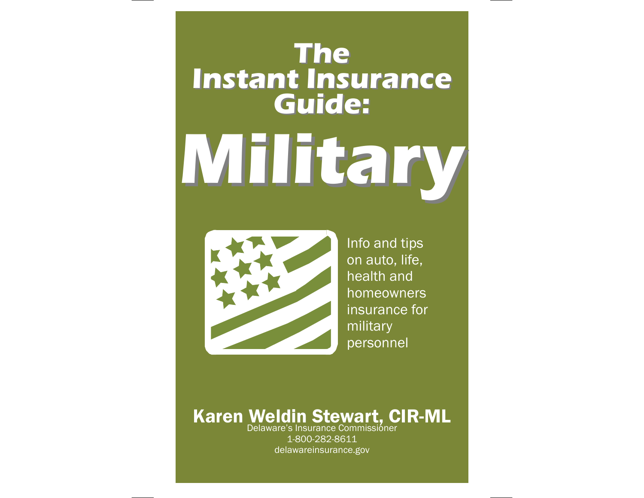# **Military Military TheInstant Insurance Instant Insurance Guide:**



Info and tips on auto, life, health and homeowners insurance for military personnel

### Delaware's Insurance Commissioner Karen Weldin Stewart, CIR-ML

1-800-282-8611 delawareinsurance.gov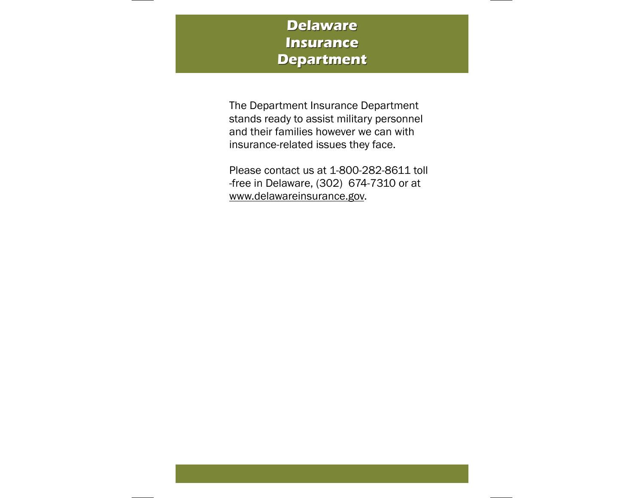### **Delaware Insurance Insurance Department Department**

The Department Insurance Department stands ready to assist military personnel and their families however we can with insurance-related issues they face.

Please contact us at 1-800-282-8611 toll-free in Delaware, (302) 674-7310 or at www.delawareinsurance.gov.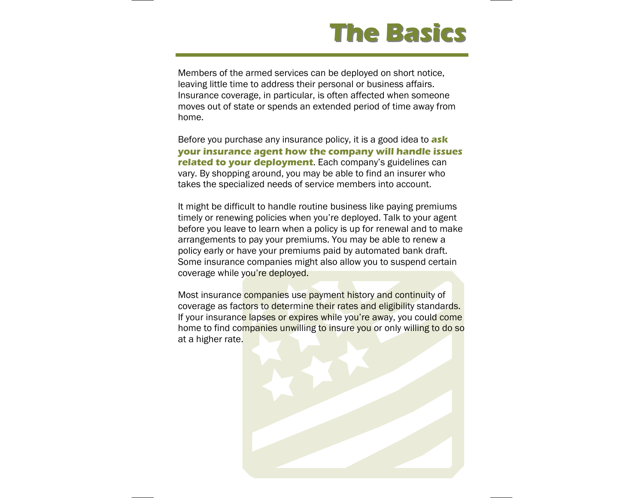### **The Basics The Basics**

Members of the armed services can be deployed on short notice, leaving little time to address their personal or business affairs. Insurance coverage, in particular, is often affected when someone moves out of state or spends an extended period of time away from home.

Before you purchase any insurance policy, it is a good idea to **ask your insurance agent how the company will handle issues related to your deployment**. Each company's guidelines can vary. By shopping around, you may be able to find an insurer who takes the specialized needs of service members into account.

It might be difficult to handle routine business like paying premiums timely or renewing policies when you're deployed. Talk to your agent before you leave to learn when a policy is up for renewal and to make arrangements to pay your premiums. You may be able to renew a policy early or have your premiums paid by automated bank draft. Some insurance companies might also allow you to suspend certain coverage while you're deployed.

Most insurance companies use payment history and continuity of coverage as factors to determine their rates and eligibility standards. If your insurance lapses or expires while you're away, you could come home to find companies unwilling to insure you or only willing to do so at a higher rate.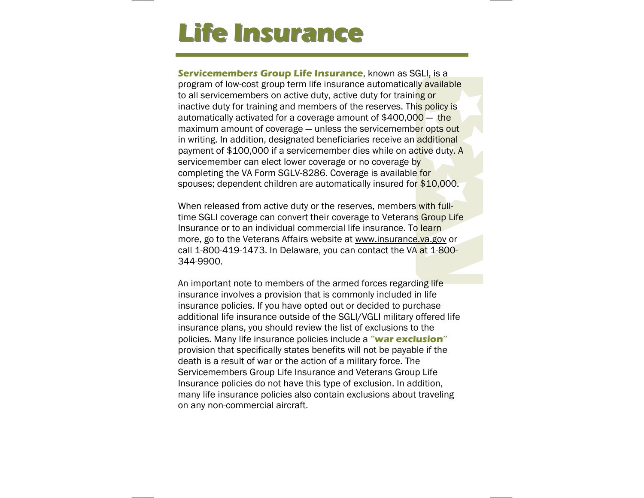## **Life Insurance Life Insurance**

**Servicemembers Group Life Insurance**, known as SGLI, is a program of low-cost group term life insurance automatically available to all servicemembers on active duty, active duty for training or inactive duty for training and members of the reserves. This policy is automatically activated for a coverage amount of \$400,000 — the maximum amount of coverage – unless the servicemember opts out in writing. In addition, designated beneficiaries receive an additional payment of \$100,000 if a servicemember dies while on active duty. A servicemember can elect lower coverage or no coverage by completing the VA Form SGLV-8286. Coverage is available for spouses; dependent children are automatically insured for \$10,000.

When released from active duty or the reserves, members with fulltime SGLI coverage can convert their coverage to Veterans Group Life Insurance or to an individual commercial life insurance. To learn more, go to the Veterans Affairs website at www.insurance.va.gov or call 1-800-419-1473. In Delaware, you can contact the VA at 1-800-344-9900.

An important note to members of the armed forces regarding life insurance involves a provision that is commonly included in life insurance policies. If you have opted out or decided to purchase additional life insurance outside of the SGLI/VGLI military offered life insurance plans, you should review the list of exclusions to the policies. Many life insurance policies include a **"war exclusion"** provision that specifically states benefits will not be payable if the death is a result of war or the action of a military force. The Servicemembers Group Life Insurance and Veterans Group Life Insurance policies do not have this type of exclusion. In addition, many life insurance policies also contain exclusions about traveling on any non-commercial aircraft.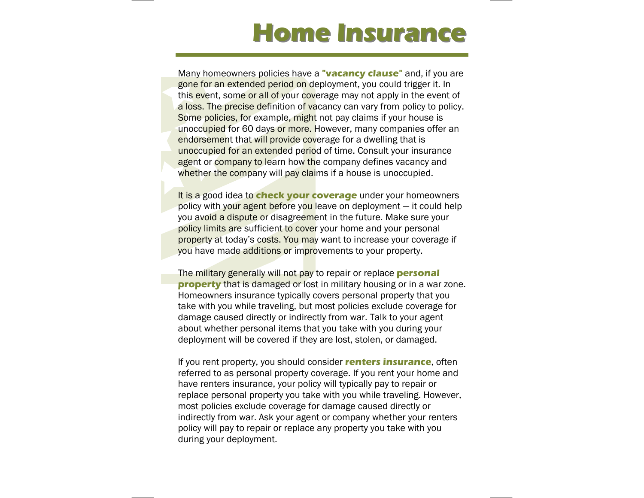## **Home Insurance Home Insurance**

Many homeowners policies have a **"vacancy clause"** and, if you are gone for an extended period on deployment, you could trigger it. In this event, some or all of your coverage may not apply in the event of a loss. The precise definition of vacancy can vary from policy to policy. Some policies, for example, might not pay claims if your house is unoccupied for 60 days or more. However, many companies offer an endorsement that will provide coverage for a dwelling that is unoccupied for an extended period of time. Consult your insurance agent or company to learn how the company defines vacancy and whether the company will pay claims if a house is unoccupied.

It is a good idea to **check your coverage** under your homeowners policy with your agent before you leave on deployment — it could help you avoid a dispute or disagreement in the future. Make sure your policy limits are sufficient to cover your home and your personal property at today's costs. You may want to increase your coverage if you have made additions or improvements to your property.

The military generally will not pay to repair or replace **personal property** that is damaged or lost in military housing or in a war zone. Homeowners insurance typically covers personal property that you take with you while traveling, but most policies exclude coverage for damage caused directly or indirectly from war. Talk to your agent about whether personal items that you take with you during your deployment will be covered if they are lost, stolen, or damaged.

If you rent property, you should consider **renters insurance**, often referred to as personal property coverage. If you rent your home and have renters insurance, your policy will typically pay to repair or replace personal property you take with you while traveling. However, most policies exclude coverage for damage caused directly or indirectly from war. Ask your agent or company whether your renters policy will pay to repair or replace any property you take with you during your deployment.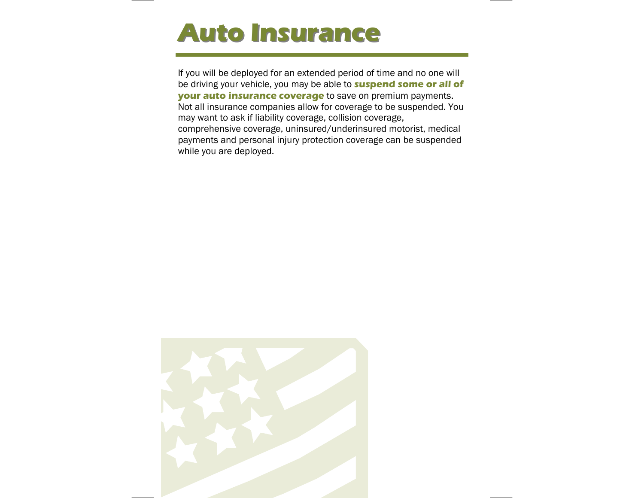## **Auto Insurance Auto Insurance**

If you will be deployed for an extended period of time and no one will be driving your vehicle, you may be able to **suspend some or all of your auto insurance coverage** to save on premium payments. Not all insurance companies allow for coverage to be suspended. You may want to ask if liability coverage, collision coverage, comprehensive coverage, uninsured/underinsured motorist, medical payments and personal injury protection coverage can be suspended while you are deployed.

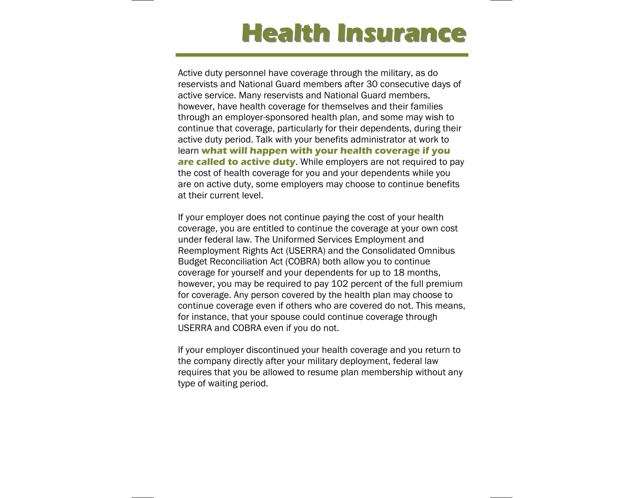## **Health Insurance**

Active duty personnel have coverage through the military, as do reservists and National Guard members after 30 consecutive days of active service. Many reservists and National Guard members, however, have health coverage for themselves and their families through an employer-sponsored health plan, and some may wish to continue that coverage, particularly for their dependents, during their active duty period. Talk with your benefits administrator at work to learn **what will happen with your health coverage if you are called to active duty.** While employers are not required to pay the cost of health coverage for you and your dependents while you are on active duty, some employers may choose to continue benefits at their current level.

If your employer does not continue paying the cost of your health coverage, you are entitled to continue the coverage at your own cost under federal law. The Uniformed Services Employment and Reemployment Rights Act (USERRA) and the Consolidated Omnibus Budget Reconciliation Act (COBRA) both allow you to continue coverage for yourself and your dependents for up to 18 months, however, you may be required to pay 102 percent of the full premium for coverage. Any person covered by the health plan may choose to continue coverage even if others who are covered do not. This means, for instance, that your spouse could continue coverage through USERRA and COBRA even if you do not.

If your employer discontinued your health coverage and you return to the company directly after your military deployment, federal law requires that you be allowed to resume plan membership without any type of waiting period.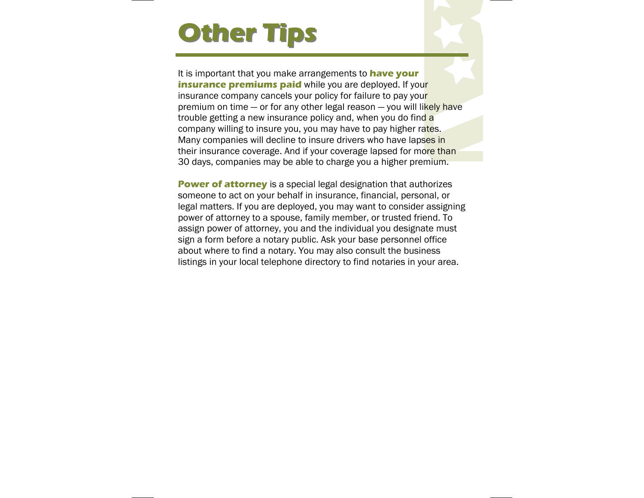## **Other Tips Other Tips**

It is important that you make arrangements to **have your insurance premiums paid** while you are deployed. If your insurance company cancels your policy for failure to pay your premium on time - or for any other legal reason - you will likely have trouble getting a new insurance policy and, when you do find a company willing to insure you, you may have to pay higher rates. Many companies will decline to insure drivers who have lapses in their insurance coverage. And if your coverage lapsed for more than 30 days, companies may be able to charge you a higher premium.

**Power of attorney** is a special legal designation that authorizes someone to act on your behalf in insurance, financial, personal, or legal matters. If you are deployed, you may want to consider assigning power of attorney to a spouse, family member, or trusted friend. To assign power of attorney, you and the individual you designate must sign a form before a notary public. Ask your base personnel office about where to find a notary. You may also consult the business listings in your local telephone directory to find notaries in your area.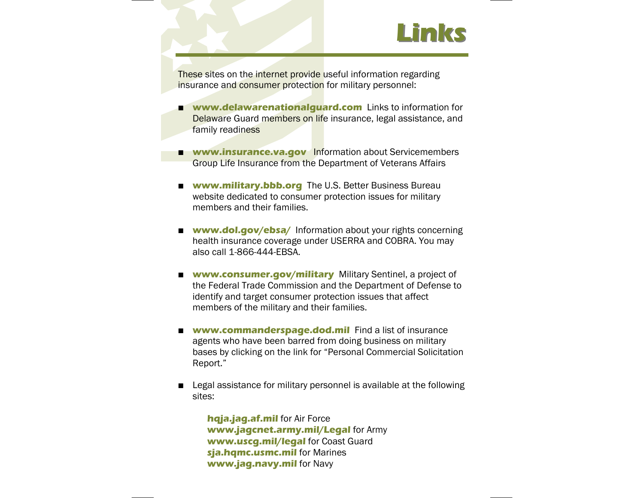

These sites on the internet provide useful information regarding insurance and consumer protection for military personnel:

- п **www.delawarenationalguard.com** Links to information for Delaware Guard members on life insurance, legal assistance, and family readiness
- **www.insurance.va.gov** Information about Servicemembers Group Life Insurance from the Department of Veterans Affairs
- **www.military.bbb.org** The U.S. Better Business Bureau website dedicated to consumer protection issues for military members and their families.
- **www.dol.gov/ebsa/** Information about your rights concerning health insurance coverage under USERRA and COBRA. You may also call 1-866-444-EBSA.
- **www.consumer.gov/military** Military Sentinel, a project of the Federal Trade Commission and the Department of Defense to identify and target consumer protection issues that affect members of the military and their families.
- $\blacksquare$  **www.commanderspage.dod.mil** Find a list of insurance agents who have been barred from doing business on military bases by clicking on the link for "Personal Commercial Solicitation Report."
- **The Contract of the Contract of the Contract of the Contract of the Contract of the Contract of the Contract o**  Legal assistance for military personnel is available at the following sites:

**hqja.jag.af.mil** for Air Force **www.jagcnet.army.mil/Legal** for Army **www.uscg.mil/legal** for Coast Guard **sja.hqmc.usmc.mil** for Marines **www.jag.navy.mil** for Navy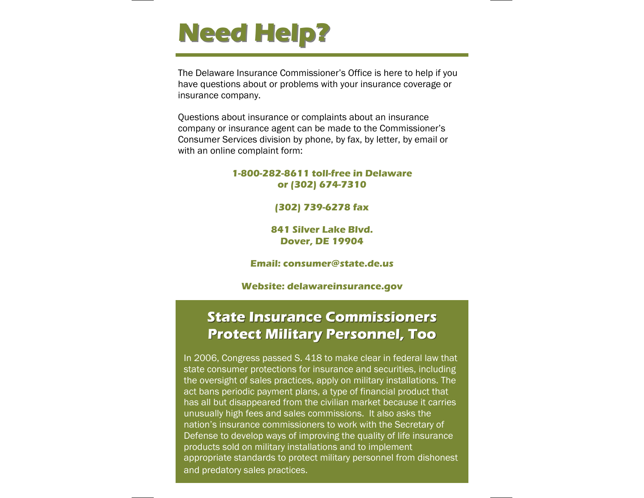

The Delaware Insurance Commissioner's Office is here to help if you have questions about or problems with your insurance coverage or insurance company.

Questions about insurance or complaints about an insurance company or insurance agent can be made to the Commissioner's Consumer Services division by phone, by fax, by letter, by email or with an online complaint form:

### **1-800-282-8611 toll-free in Delaware or (302) 674-7310**

### **(302) 739-6278 fax**

**841 Silver Lake Blvd. Dover, DE 19904** 

#### **Email: consumer@state.de.us**

### **Website: delawareinsurance.gov**

### **State Insurance Commissioners Protect Military Personnel, Too Protect Military Personnel, Too**

In 2006, Congress passed S. 418 to make clear in federal law that state consumer protections for insurance and securities, including the oversight of sales practices, apply on military installations. The act bans periodic payment plans, a type of financial product that has all but disappeared from the civilian market because it carries unusually high fees and sales commissions. It also asks the nation's insurance commissioners to work with the Secretary of Defense to develop ways of improving the quality of life insurance products sold on military installations and to implement appropriate standards to protect military personnel from dishonest and predatory sales practices.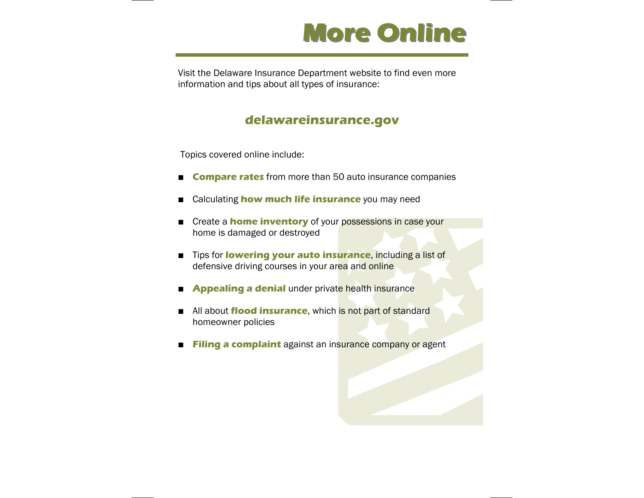

Visit the Delaware Insurance Department website to find even more information and tips about all types of insurance:

### **delawareinsurance.gov**

Topics covered online include:

- $\blacksquare$ **Compare rates** from more than 50 auto insurance companies
- $\blacksquare$ Calculating **how much life insurance** you may need
- $\blacksquare$  Create a **home inventory** of your possessions in case your home is damaged or destroyed
- Tips for **lowering your auto insurance**, including a list of defensive driving courses in your area and online
- **Appealing a denial** under private health insurance
- All about flood insurance, which is not part of standard homeowner policies
- **The Contract of the Contract of the Contract of the Contract of the Contract of the Contract of the Contract o Filing a complaint** against an insurance company or agent